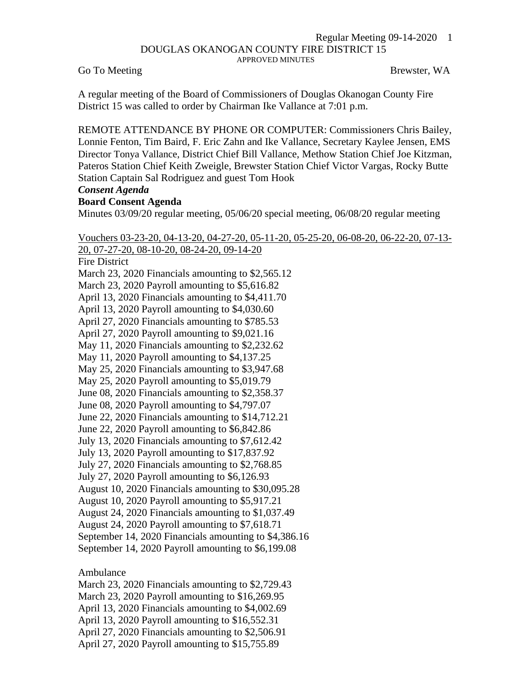#### Regular Meeting 09-14-2020 1 DOUGLAS OKANOGAN COUNTY FIRE DISTRICT 15 APPROVED MINUTES

Go To Meeting Brewster, WA

A regular meeting of the Board of Commissioners of Douglas Okanogan County Fire District 15 was called to order by Chairman Ike Vallance at 7:01 p.m.

REMOTE ATTENDANCE BY PHONE OR COMPUTER: Commissioners Chris Bailey, Lonnie Fenton, Tim Baird, F. Eric Zahn and Ike Vallance, Secretary Kaylee Jensen, EMS Director Tonya Vallance, District Chief Bill Vallance, Methow Station Chief Joe Kitzman, Pateros Station Chief Keith Zweigle, Brewster Station Chief Victor Vargas, Rocky Butte Station Captain Sal Rodriguez and guest Tom Hook

## *Consent Agenda*

### **Board Consent Agenda**

Minutes 03/09/20 regular meeting, 05/06/20 special meeting, 06/08/20 regular meeting

Vouchers 03-23-20, 04-13-20, 04-27-20, 05-11-20, 05-25-20, 06-08-20, 06-22-20, 07-13- 20, 07-27-20, 08-10-20, 08-24-20, 09-14-20 Fire District

March 23, 2020 Financials amounting to \$2,565.12

March 23, 2020 Payroll amounting to \$5,616.82

April 13, 2020 Financials amounting to \$4,411.70

April 13, 2020 Payroll amounting to \$4,030.60

April 27, 2020 Financials amounting to \$785.53

April 27, 2020 Payroll amounting to \$9,021.16

May 11, 2020 Financials amounting to \$2,232.62

May 11, 2020 Payroll amounting to \$4,137.25

May 25, 2020 Financials amounting to \$3,947.68

May 25, 2020 Payroll amounting to \$5,019.79

June 08, 2020 Financials amounting to \$2,358.37

June 08, 2020 Payroll amounting to \$4,797.07

June 22, 2020 Financials amounting to \$14,712.21

June 22, 2020 Payroll amounting to \$6,842.86

July 13, 2020 Financials amounting to \$7,612.42

July 13, 2020 Payroll amounting to \$17,837.92

July 27, 2020 Financials amounting to \$2,768.85

July 27, 2020 Payroll amounting to \$6,126.93

August 10, 2020 Financials amounting to \$30,095.28

August 10, 2020 Payroll amounting to \$5,917.21

August 24, 2020 Financials amounting to \$1,037.49

August 24, 2020 Payroll amounting to \$7,618.71

September 14, 2020 Financials amounting to \$4,386.16

September 14, 2020 Payroll amounting to \$6,199.08

Ambulance

March 23, 2020 Financials amounting to \$2,729.43

March 23, 2020 Payroll amounting to \$16,269.95

April 13, 2020 Financials amounting to \$4,002.69

April 13, 2020 Payroll amounting to \$16,552.31

April 27, 2020 Financials amounting to \$2,506.91

April 27, 2020 Payroll amounting to \$15,755.89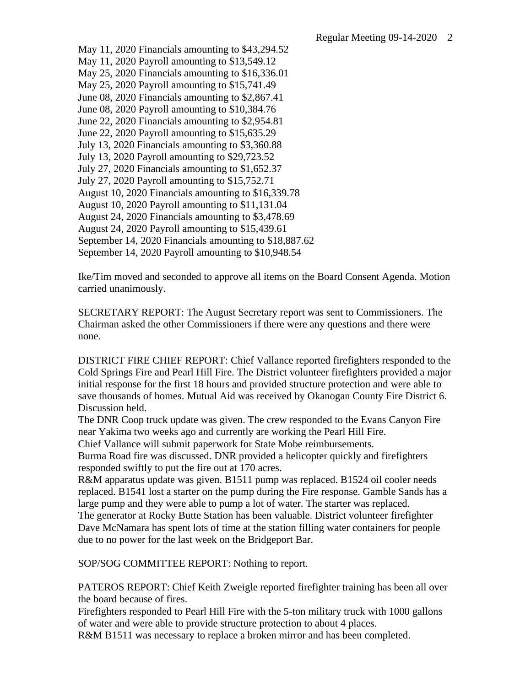May 11, 2020 Financials amounting to \$43,294.52 May 11, 2020 Payroll amounting to \$13,549.12 May 25, 2020 Financials amounting to \$16,336.01 May 25, 2020 Payroll amounting to \$15,741.49 June 08, 2020 Financials amounting to \$2,867.41 June 08, 2020 Payroll amounting to \$10,384.76 June 22, 2020 Financials amounting to \$2,954.81 June 22, 2020 Payroll amounting to \$15,635.29 July 13, 2020 Financials amounting to \$3,360.88 July 13, 2020 Payroll amounting to \$29,723.52 July 27, 2020 Financials amounting to \$1,652.37 July 27, 2020 Payroll amounting to \$15,752.71 August 10, 2020 Financials amounting to \$16,339.78 August 10, 2020 Payroll amounting to \$11,131.04 August 24, 2020 Financials amounting to \$3,478.69 August 24, 2020 Payroll amounting to \$15,439.61 September 14, 2020 Financials amounting to \$18,887.62 September 14, 2020 Payroll amounting to \$10,948.54

Ike/Tim moved and seconded to approve all items on the Board Consent Agenda. Motion carried unanimously.

SECRETARY REPORT: The August Secretary report was sent to Commissioners. The Chairman asked the other Commissioners if there were any questions and there were none.

DISTRICT FIRE CHIEF REPORT: Chief Vallance reported firefighters responded to the Cold Springs Fire and Pearl Hill Fire. The District volunteer firefighters provided a major initial response for the first 18 hours and provided structure protection and were able to save thousands of homes. Mutual Aid was received by Okanogan County Fire District 6. Discussion held.

The DNR Coop truck update was given. The crew responded to the Evans Canyon Fire near Yakima two weeks ago and currently are working the Pearl Hill Fire.

Chief Vallance will submit paperwork for State Mobe reimbursements.

Burma Road fire was discussed. DNR provided a helicopter quickly and firefighters responded swiftly to put the fire out at 170 acres.

R&M apparatus update was given. B1511 pump was replaced. B1524 oil cooler needs replaced. B1541 lost a starter on the pump during the Fire response. Gamble Sands has a large pump and they were able to pump a lot of water. The starter was replaced. The generator at Rocky Butte Station has been valuable. District volunteer firefighter Dave McNamara has spent lots of time at the station filling water containers for people due to no power for the last week on the Bridgeport Bar.

SOP/SOG COMMITTEE REPORT: Nothing to report.

PATEROS REPORT: Chief Keith Zweigle reported firefighter training has been all over the board because of fires.

Firefighters responded to Pearl Hill Fire with the 5-ton military truck with 1000 gallons of water and were able to provide structure protection to about 4 places.

R&M B1511 was necessary to replace a broken mirror and has been completed.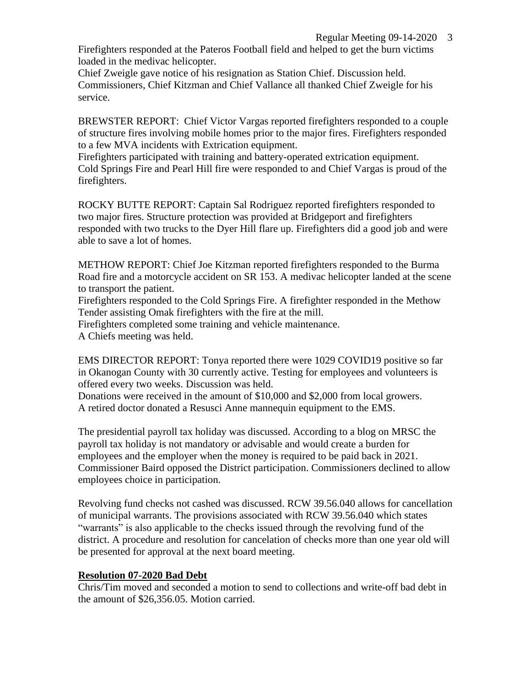# Regular Meeting 09-14-2020 3

Firefighters responded at the Pateros Football field and helped to get the burn victims loaded in the medivac helicopter.

Chief Zweigle gave notice of his resignation as Station Chief. Discussion held. Commissioners, Chief Kitzman and Chief Vallance all thanked Chief Zweigle for his service.

BREWSTER REPORT: Chief Victor Vargas reported firefighters responded to a couple of structure fires involving mobile homes prior to the major fires. Firefighters responded to a few MVA incidents with Extrication equipment.

Firefighters participated with training and battery-operated extrication equipment. Cold Springs Fire and Pearl Hill fire were responded to and Chief Vargas is proud of the firefighters.

ROCKY BUTTE REPORT: Captain Sal Rodriguez reported firefighters responded to two major fires. Structure protection was provided at Bridgeport and firefighters responded with two trucks to the Dyer Hill flare up. Firefighters did a good job and were able to save a lot of homes.

METHOW REPORT: Chief Joe Kitzman reported firefighters responded to the Burma Road fire and a motorcycle accident on SR 153. A medivac helicopter landed at the scene to transport the patient.

Firefighters responded to the Cold Springs Fire. A firefighter responded in the Methow Tender assisting Omak firefighters with the fire at the mill.

Firefighters completed some training and vehicle maintenance.

A Chiefs meeting was held.

EMS DIRECTOR REPORT: Tonya reported there were 1029 COVID19 positive so far in Okanogan County with 30 currently active. Testing for employees and volunteers is offered every two weeks. Discussion was held.

Donations were received in the amount of \$10,000 and \$2,000 from local growers. A retired doctor donated a Resusci Anne mannequin equipment to the EMS.

The presidential payroll tax holiday was discussed. According to a blog on MRSC the payroll tax holiday is not mandatory or advisable and would create a burden for employees and the employer when the money is required to be paid back in 2021. Commissioner Baird opposed the District participation. Commissioners declined to allow employees choice in participation.

Revolving fund checks not cashed was discussed. RCW 39.56.040 allows for cancellation of municipal warrants. The provisions associated with RCW 39.56.040 which states "warrants" is also applicable to the checks issued through the revolving fund of the district. A procedure and resolution for cancelation of checks more than one year old will be presented for approval at the next board meeting.

# **Resolution 07-2020 Bad Debt**

Chris/Tim moved and seconded a motion to send to collections and write-off bad debt in the amount of \$26,356.05. Motion carried.